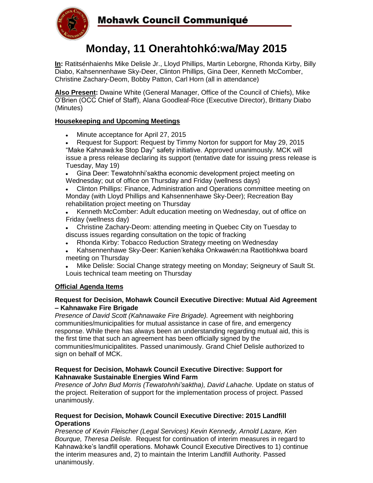

# **Monday, 11 Onerahtohkó:wa/May 2015**

**In:** Ratitsénhaienhs Mike Delisle Jr., Lloyd Phillips, Martin Leborgne, Rhonda Kirby, Billy Diabo, Kahsennenhawe Sky-Deer, Clinton Phillips, Gina Deer, Kenneth McComber, Christine Zachary-Deom, Bobby Patton, Carl Horn (all in attendance)

**Also Present:** Dwaine White (General Manager, Office of the Council of Chiefs), Mike O"Brien (OCC Chief of Staff), Alana Goodleaf-Rice (Executive Director), Brittany Diabo (Minutes)

## **Housekeeping and Upcoming Meetings**

- Minute acceptance for April 27, 2015
- Request for Support: Request by Timmy Norton for support for May 29, 2015 "Make Kahnawà:ke Stop Day" safety initiative. Approved unanimously. MCK will issue a press release declaring its support (tentative date for issuing press release is Tuesday, May 19)
- Gina Deer: Tewatohnhi"saktha economic development project meeting on Wednesday; out of office on Thursday and Friday (wellness days)
- Clinton Phillips: Finance, Administration and Operations committee meeting on Monday (with Lloyd Phillips and Kahsennenhawe Sky-Deer); Recreation Bay rehabilitation project meeting on Thursday
- Kenneth McComber: Adult education meeting on Wednesday, out of office on Friday (wellness day)
- Christine Zachary-Deom: attending meeting in Quebec City on Tuesday to discuss issues regarding consultation on the topic of fracking
- Rhonda Kirby: Tobacco Reduction Strategy meeting on Wednesday  $\bullet$
- Kahsennenhawe Sky-Deer: Kanien"keháka Onkwawén:na Raotitiohkwa board meeting on Thursday
- Mike Delisle: Social Change strategy meeting on Monday; Seigneury of Sault St. Louis technical team meeting on Thursday

## **Official Agenda Items**

### **Request for Decision, Mohawk Council Executive Directive: Mutual Aid Agreement – Kahnawake Fire Brigade**

*Presence of David Scott (Kahnawake Fire Brigade).* Agreement with neighboring communities/municipalities for mutual assistance in case of fire, and emergency response. While there has always been an understanding regarding mutual aid, this is the first time that such an agreement has been officially signed by the communities/municipalitites. Passed unanimously. Grand Chief Delisle authorized to sign on behalf of MCK.

### **Request for Decision, Mohawk Council Executive Directive: Support for Kahnawake Sustainable Energies Wind Farm**

*Presence of John Bud Morris (Tewatohnhi'saktha), David Lahache.* Update on status of the project. Reiteration of support for the implementation process of project. Passed unanimously.

#### **Request for Decision, Mohawk Council Executive Directive: 2015 Landfill Operations**

*Presence of Kevin Fleischer (Legal Services) Kevin Kennedy, Arnold Lazare, Ken Bourque, Theresa Delisle.* Request for continuation of interim measures in regard to Kahnawà:ke's landfill operations. Mohawk Council Executive Directives to 1) continue the interim measures and, 2) to maintain the Interim Landfill Authority. Passed unanimously.